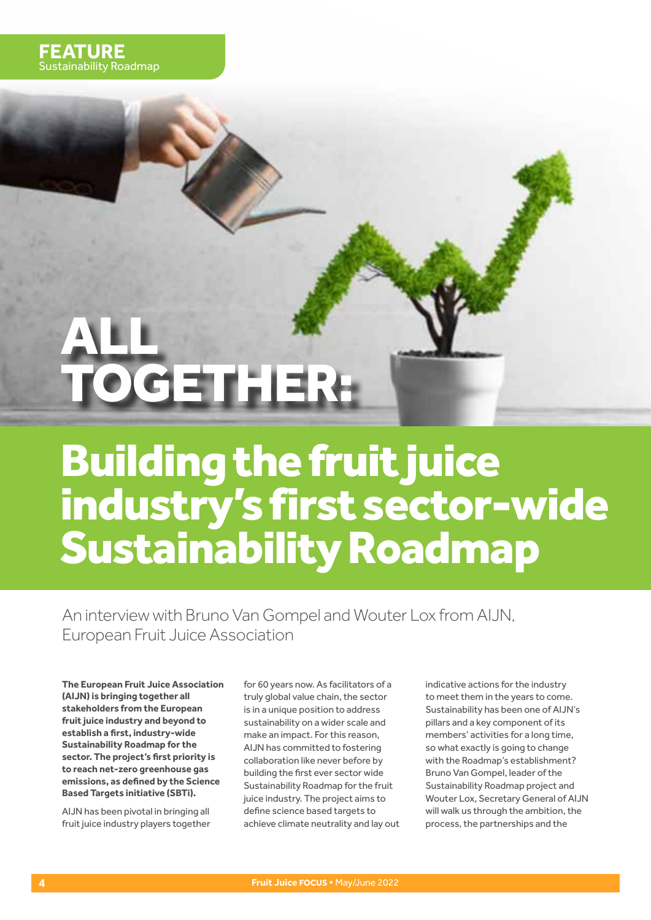# ALL GETHER<del>:</del>

# Building the fruit juice industry's first sector-wide Sustainability Roadmap

An interview with Bruno Van Gompel and Wouter Lox from AIJN, European Fruit Juice Association

**The European Fruit Juice Association (AIJN) is bringing together all stakeholders from the European fruit juice industry and beyond to establish a first, industry-wide Sustainability Roadmap for the sector. The project's first priority is to reach net-zero greenhouse gas emissions, as defined by the Science Based Targets initiative (SBTi).**

AIJN has been pivotal in bringing all fruit juice industry players together for 60 years now. As facilitators of a truly global value chain, the sector is in a unique position to address sustainability on a wider scale and make an impact. For this reason, AIJN has committed to fostering collaboration like never before by building the first ever sector wide Sustainability Roadmap for the fruit juice industry. The project aims to define science based targets to achieve climate neutrality and lay out indicative actions for the industry to meet them in the years to come. Sustainability has been one of AIJN's pillars and a key component of its members' activities for a long time, so what exactly is going to change with the Roadmap's establishment? Bruno Van Gompel, leader of the Sustainability Roadmap project and Wouter Lox, Secretary General of AIJN will walk us through the ambition, the process, the partnerships and the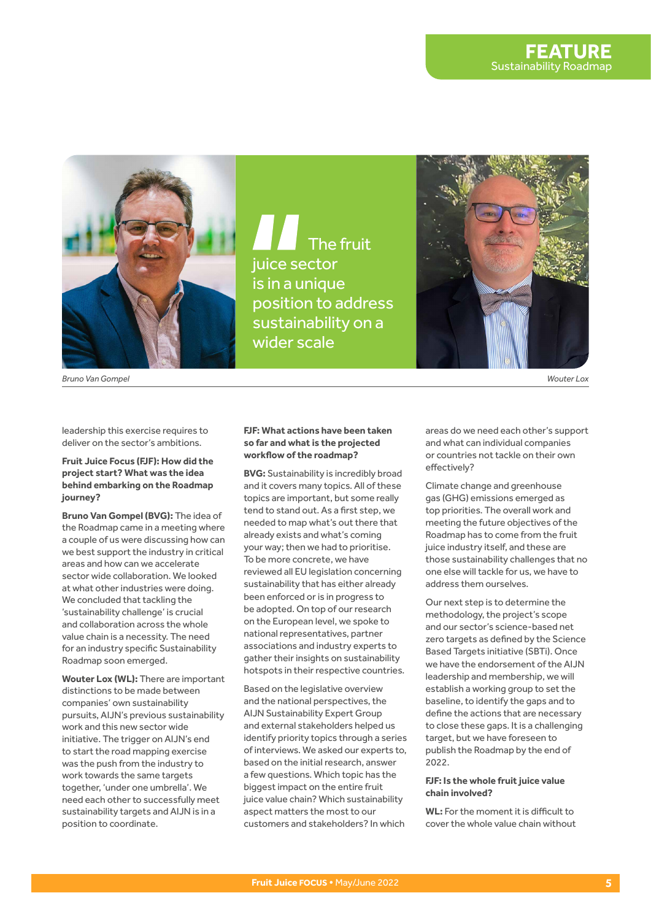

The fruit juice sector is in a unique position to address sustainability on a wider scale



*Bruno Van Gompel Wouter Lox*

leadership this exercise requires to deliver on the sector's ambitions.

# **Fruit Juice Focus (FJF): How did the project start? What was the idea behind embarking on the Roadmap journey?**

**Bruno Van Gompel (BVG):** The idea of the Roadmap came in a meeting where a couple of us were discussing how can we best support the industry in critical areas and how can we accelerate sector wide collaboration. We looked at what other industries were doing. We concluded that tackling the 'sustainability challenge' is crucial and collaboration across the whole value chain is a necessity. The need for an industry specific Sustainability Roadmap soon emerged.

**Wouter Lox (WL):** There are important distinctions to be made between companies' own sustainability pursuits, AIJN's previous sustainability work and this new sector wide initiative. The trigger on AIJN's end to start the road mapping exercise was the push from the industry to work towards the same targets together, 'under one umbrella'. We need each other to successfully meet sustainability targets and AIJN is in a position to coordinate.

#### **FJF: What actions have been taken so far and what is the projected workflow of the roadmap?**

**BVG:** Sustainability is incredibly broad and it covers many topics. All of these topics are important, but some really tend to stand out. As a first step, we needed to map what's out there that already exists and what's coming your way; then we had to prioritise. To be more concrete, we have reviewed all EU legislation concerning sustainability that has either already been enforced or is in progress to be adopted. On top of our research on the European level, we spoke to national representatives, partner associations and industry experts to gather their insights on sustainability hotspots in their respective countries.

Based on the legislative overview and the national perspectives, the AIJN Sustainability Expert Group and external stakeholders helped us identify priority topics through a series of interviews. We asked our experts to, based on the initial research, answer a few questions. Which topic has the biggest impact on the entire fruit juice value chain? Which sustainability aspect matters the most to our customers and stakeholders? In which

areas do we need each other's support and what can individual companies or countries not tackle on their own effectively?

Climate change and greenhouse gas (GHG) emissions emerged as top priorities. The overall work and meeting the future objectives of the Roadmap has to come from the fruit juice industry itself, and these are those sustainability challenges that no one else will tackle for us, we have to address them ourselves.

Our next step is to determine the methodology, the project's scope and our sector's science-based net zero targets as defined by the Science Based Targets initiative (SBTi). Once we have the endorsement of the AIJN leadership and membership, we will establish a working group to set the baseline, to identify the gaps and to define the actions that are necessary to close these gaps. It is a challenging target, but we have foreseen to publish the Roadmap by the end of 2022.

# **FJF: Is the whole fruit juice value chain involved?**

**WL:** For the moment it is difficult to cover the whole value chain without